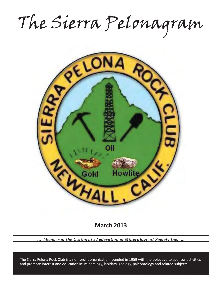The Sierra Pelonagram



**March 2013**

*… Member of the California Federation of Mineralogical Society Inc. …*

and promote interest and education in: mineralogy, lapidary, geology, paleontology and related subjects. The Sierra Pelona Rock Club is a non-profit organization founded in 1959 with the objective to sponsor activities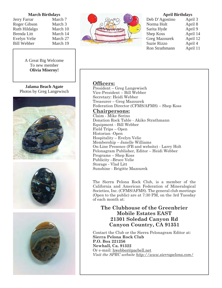#### **March Birthdays**

Jerry Farrar March 7 Roger Gibson March 3 Ruth Hildalgo March 10 Brenda Litt March 14 Evelyn Velie March 27 Bill Webber March 19

A Great Big Welcome To new member **Olivia Miseroy!**

**Jalama Beach Agate** Photos by Greg Langewisch





#### **April Birthdays**

| Deb D'Agostino       | April 3  |
|----------------------|----------|
| Norma Holt           | April 8  |
| Sarita Hyde          | April 9  |
| <b>Shep Koss</b>     | April 14 |
| <b>Greg Mazourek</b> | April 12 |
| <b>Suzie Rizzo</b>   | April 4  |
| Ron Strathmann       | April 11 |

### Officers:

President – Greg Langewisch Vice-President – Bill Webber Secretary: Heidi Webber Treasurer – Greg Mazourek Federation Director (CFMS/AFMS) – Shep Koss

#### **Chairpersons:**

Claim - Mike Serino Donation Rock Table - Akiko Strathmann Equipment - Bill Webber Field Trips – Open Historian -Open Hospitality – Evelyn Velie Membership – Janelle Williams On-Line Presence (FB and website) - Larry Holt Pelonagram Publisher, Editor – Heidi Webber Programs – Shep Koss Publicity –Bruce Velie Storage - Vlad Litt Sunshine - Brigitte Mazourek

The Sierra Pelona Rock Club, is a member of the California and American Federation of Mineralogical Societies, Inc. (CFMS/AFMS). The general club meetings (Open to the public) are at 7:30 PM, on the 3rd Tuesday of each month at:

## **The Clubhouse of the Greenbrier Mobile Estates EAST 21301 Soledad Canyon Rd Canyon Country, CA 91351**

Contact the Club or the Sierra Pelonagram Editor at: **Sierra Pelona Rock Club P.O. Box 221256 Newhall, Ca. 91322** Or e-mail: hwebber@pacbell.net *Visit the SPRC website http://www.sierrapelona.com/*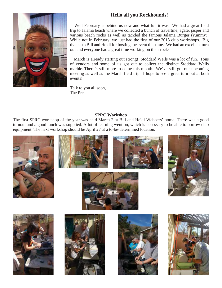# **Hello all you Rockhounds!**



 Well February is behind us now and what fun it was. We had a great field trip to Jalama beach where we collected a bunch of travertine, agate, jasper and various beach rocks as well as tackled the famous Jalama Burger (yummy)! While not in February, we just had the first of our 2013 club workshops. Big thanks to Bill and Heidi for hosting the event this time. We had an excellent turn out and everyone had a great time working on their rocks.

 March is already starting out strong! Stoddard Wells was a lot of fun. Tons of vendors and some of us got out to collect the distinct Stoddard Wells marble. There's still more to come this month. We've still got our upcoming meeting as well as the March field trip. I hope to see a great turn out at both events!

Talk to you all soon, The Pres

#### **SPRC Workshop**

The first SPRC workshop of the year was held March 2 at Bill and Heidi Webbers' home. There was a good turnout and a good lunch was supplied. A lot of learning went on, which is necessary to be able to borrow club equipment. The next workshop should be April 27 at a to-be-determined location.















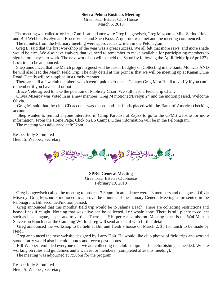#### **Sierra Pelona Business Meeting**

Greenbriar Estates Club House

March 5, 2013

 The meeting was called to order at 7pm. In attendance were Greg Langewisch, Greg Mazourek, Mike Serino, Heidi and Bill Webber, Evelyn and Bruce Velie, and Shep Koss. A quorum was met and the meeting commenced.

The minutes from the February meeting were approved as written in the Pelonagram.

 Greg L. said that the first workshop of the year was a great success. We all felt that more saws, and more shade would be nice. We also have waivers that we need to remember to make available for participating members to sign before they start work. The next workshop will be held the Saturday following the April field trip (April 27). Location to be announced.

 Shep announced that the March program guest will be Jason Badgley on Collecting in the Santa Monicas AND he will also lead the March Field Trip. The only detail at this point is that we will be meeting up at Kanan Dune Road. Details will be supplied in a timely manner.

 There are still a few club members who haven't paid their dues. Contact Greg M or Heidi to verify if you can't remember if you have paid or not.

Bruce Velie agreed to take the position of Publicity Chair. We still need a Field Trip Chair.

 Olivia Miseroy was voted in as a new member. Greg M motioned/Evelyn 2nd and the motion passed. Welcome Olivia.

 Greg M. said that the club CD account was closed and the funds placed with the Bank of America checking account.

 Shep wanted to remind anyone interested in Camp Paradise at Zzyzx to go to the CFMS website for more information. From the Home Page, Click on ES Camps. Other information will be in the Pelonagram.

The meeting was adjourned at 8:27pm.

Respectfully Submitted Heidi S. Webber, Secretary



**SPRC General Meeting** Greenbriar Estates Clubhouse February 19, 2013

 Greg Langewisch called the meeting to order at 7:30pm. In attendance were 23 members and one guest, Olivia Miseroy. Greg Mazourek motioned to approve the minutes of the January General Meeting as presented in the Pelonagram. Bill seconded/motion passed.

 Greg announced that this months' field trip would be to Jalama Beach. There are collecting restrictions and heavy fines if caught. Nothing that was alive can be collected, i.e.: whale bone. There is still plenty to collect such as beach agate, jasper and travertine. There is a \$10 per car admission. Meeting place is the Wal-Mart in Stevenson Ranch near the Camping World. Greg will send an email with further detail.

 Greg announced the workshop to be held at Bill and Heidi's house on March 2. \$3 for lunch to be made by Heidi.

 Greg announced the new website designed by Larry Holt. He would like club photos of field trips and worked stone. Larry would also like old photos and recent past photos.

 Bill Webber reminded everyone that we are collecting the club equipment for refurbishing as needed. We are working on rules and guidelines and a waiver for members. (completed after this meeting).

The meeting was adjourned at 7:50pm for the program.

Respectfully Submitted Heidi S. Webber, Secretary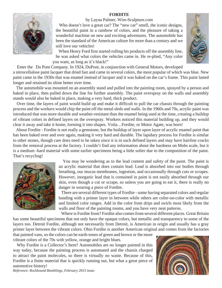#### **FORDITE**





 Who doesn't love a great car? The "new car" smell, the iconic designs, the beautiful paint in a rainbow of colors, and the pleasure of taking a wonderful machine on new and exciting adventures. The automobile has been the standard of the American culture for more than a century and we still love our vehicles!

 When Henry Ford first started rolling his products off the assembly line, he was asked what colors the vehicles came in. He re-plied, "Any color you want, as long as it's black!"

Enter the Du Pont Company. In 1924, DuPont, in conjunction with General Motors, developed

a nitrocellulose paint lacquer that dried fast and came in several colors, the most popular of which was blue. New paint came in the 1930s that was enamel instead of lacquer and it was baked on the car's frame. This paint lasted longer and retained its shine better over time.

 The automobile was mounted on an assembly stand and pulled into the painting room, sprayed by a person and baked in place, then pulled down the line for further assembly. The paint overspray on the walls and assembly stands would also be baked in place, making a very hard, thick product.

 Over time, the layers of paint would build up and make it difficult to pull the car chassis through the painting process and the workers would chip the paint off the metal sleds and walls. In the 1960s and 70s, acrylic paint was introduced that was more durable and weather-resistant than the enamel being used at the time, creating a buildup of vibrant colors in defined layers on the overspray. Workers noticed this material building up, and they would clear it away and take it home, forming it into shapes. Voila…Fordite, or Motor Agate, was born!

 About Fordite - Fordite is not really a gemstone, but the buildup of layer upon layer of acrylic enamel paint that has been baked over and over again, making it very hard and durable. The lapidary process for Fordite is similar to other stones, though care does need to be taken since it is in such defined layers and may have hairline cracks from the removal process at the factory. I couldn't find any information about the hardness on Mohs scale, but it is a medium -hard material with some earlier specimens being a little softer due to the composition of the paint. That's recycling!



 You may be wondering as to the lead content and safety of the paint. The paint is an acrylic material that does contain lead. Lead is absorbed into our bodies through breathing, our mucus membranes, ingestion, and occasionally through cuts or scrapes. However, inorganic lead that is contained in paint is not easily absorbed through our skin, even though a cut or scrape, so unless you are going to eat it, there is really no danger in wearing a piece of Fordite.

 There are several different types of Fordite - some having separated colors and regular banding with a primer layer in between while others are color-on-color with metallic and limited color ranges. Add in the color from drips and swirls most likely from the walls and floor of the painting rooms, and you have very neat patterns.

 Where is Fordite from? Fordite also comes from several different places. Great Britain has some beautiful specimens that not only have the opaque colors, but metallic and transparency to some of the layers too. Detroit Fordite, although not necessarily from Detroit, is American in origin and usually has a gray primer layer between the vibrant colors. Ohio Fordite is another American original and comes from the factories

that painted vans, so the colors can be earth-tones of green and brown or the more vibrant colors of the 70s with yellow, orange and bright blues.

 Why Fordite is a Collector's Item? Automobiles are no longer painted in this way today, because the painting process is automated and the chassis charged to attract the paint molecules, so there is virtually no waste. Because of this, Fordite is a finite material that is quickly running out, but what a great piece of automotive history! *Reference: Rockhound Ramblings, February 2013 issue.* 



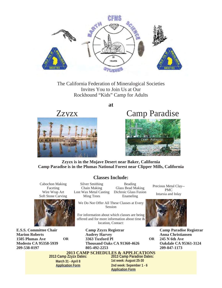

The California Federation of Mineralogical Societies Invites You to Join Us at Our Rockhound "Kids" Camp for Adults

**at**





# Zzyzx Camp Paradise



#### **Zzyzx is in the Mojave Desert near Baker, California Camp Paradise is in the Plumas National Forest near Clipper Mills, California**

Cabochon Making Faceting Wire Wrap Art Soft Stone Carving



**E.S.S. Committee Chair Marion Roberts 1505 Plumas Ave Modesto CA 95358-5939 209-538-0197 OR** 

# **Classes Include:**

Silver Smithing Chain Making Lost Wax Metal Casting Ming Trees

Beading Glass Bead Making Dichroic Glass Fusion Enameling

We Do Not Offer All These Classes at Every Session

For information about which classes are being offered and for more information about time & location, Contact:

> **Camp Zzyzx Registrar Audrey Harvey 3363 Tuxford Pl Thousand Oaks CA 91360-4626 805-492-2253**

**2013 CAMP SCHEDULES & APPLICATIONS**

**2013 Camp Zzyzx Dates: March 31 - April 8 Application Form**

**2013 Camp Paradise Dates: 1st week: August 25-30 2nd week: Sepember 1 - 6 Application Form**

Precious Metal Clay-- PMC Intarsia and Inlay



**OR** 

**Camp Paradise Registrar Anna Christiansen 245 N 6th Ave Oakdale CA 95361-3124 209-847-1173**